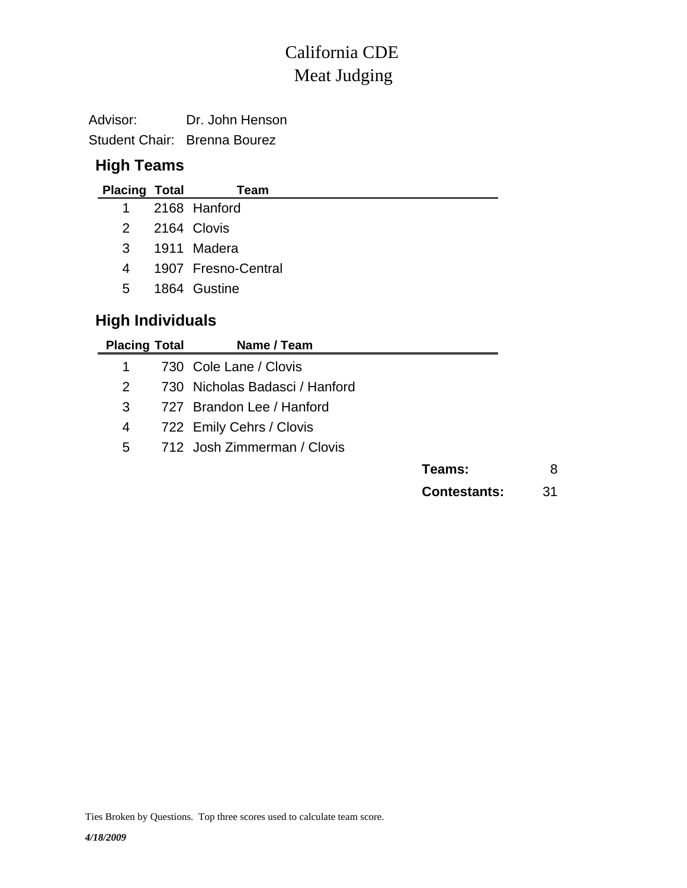# Meat Judging California CDE

| Advisor: | Dr. John Henson              |
|----------|------------------------------|
|          | Student Chair: Brenna Bourez |

## **High Teams**

| <b>Placing Total</b>    |  | Team                |  |  |  |  |  |  |  |
|-------------------------|--|---------------------|--|--|--|--|--|--|--|
| $1 \quad$               |  | 2168 Hanford        |  |  |  |  |  |  |  |
| 2                       |  | 2164 Clovis         |  |  |  |  |  |  |  |
| 3                       |  | 1911 Madera         |  |  |  |  |  |  |  |
| 4                       |  | 1907 Fresno-Central |  |  |  |  |  |  |  |
| 5                       |  | 1864 Gustine        |  |  |  |  |  |  |  |
| <b>High Individuals</b> |  |                     |  |  |  |  |  |  |  |

| <b>Placing Total</b> | Name / Team                    |                     |    |
|----------------------|--------------------------------|---------------------|----|
| 1                    | 730 Cole Lane / Clovis         |                     |    |
| 2                    | 730 Nicholas Badasci / Hanford |                     |    |
| 3                    | 727 Brandon Lee / Hanford      |                     |    |
| 4                    | 722 Emily Cehrs / Clovis       |                     |    |
| 5                    | 712 Josh Zimmerman / Clovis    |                     |    |
|                      |                                | Teams:              | 8  |
|                      |                                | <b>Contestants:</b> | 31 |

Ties Broken by Questions. Top three scores used to calculate team score.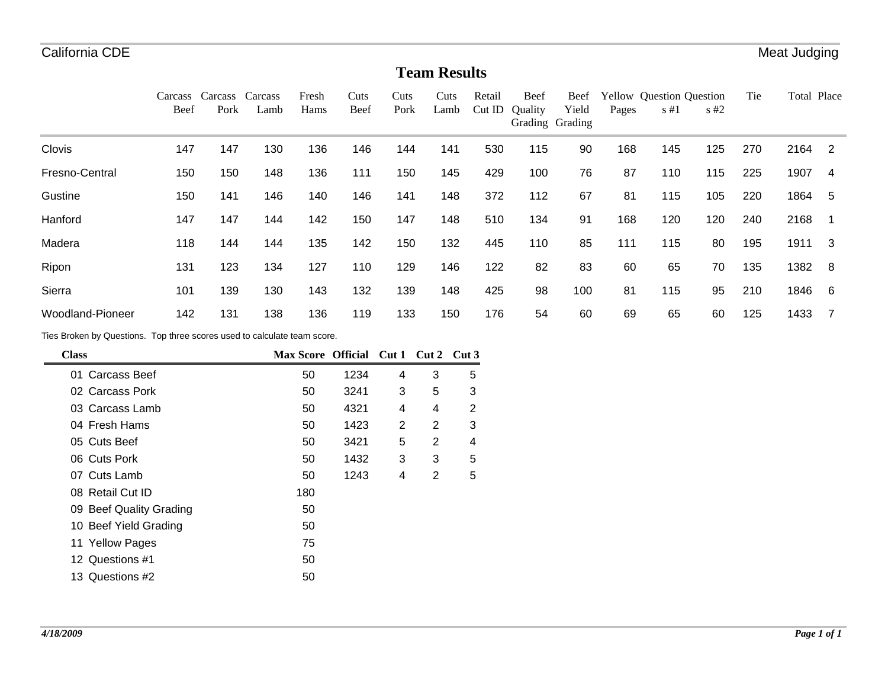#### **Team Results**

|                         | Carcass<br>Beef | Carcass<br>Pork | Carcass<br>Lamb | Fresh<br>Hams | Cuts<br>Beef | Cuts<br>Pork | Cuts<br>Lamb | Retail<br>CutID | Beef<br>Ouality | Beef<br>Yield<br>Grading Grading | Pages | <b>Yellow</b> Question Question<br>$s \#1$ | $\sqrt{5+2}$ | Tie | Total Place |     |
|-------------------------|-----------------|-----------------|-----------------|---------------|--------------|--------------|--------------|-----------------|-----------------|----------------------------------|-------|--------------------------------------------|--------------|-----|-------------|-----|
| Clovis                  | 147             | 147             | 130             | 136           | 146          | 144          | 141          | 530             | 115             | 90                               | 168   | 145                                        | 125          | 270 | 2164        | -2  |
| Fresno-Central          | 150             | 150             | 148             | 136           | 111          | 150          | 145          | 429             | 100             | 76                               | 87    | 110                                        | 115          | 225 | 1907        | 4   |
| Gustine                 | 150             | 141             | 146             | 140           | 146          | 141          | 148          | 372             | 112             | 67                               | 81    | 115                                        | 105          | 220 | 1864        | -5  |
| Hanford                 | 147             | 147             | 144             | 142           | 150          | 147          | 148          | 510             | 134             | 91                               | 168   | 120                                        | 120          | 240 | 2168        |     |
| Madera                  | 118             | 144             | 144             | 135           | 142          | 150          | 132          | 445             | 110             | 85                               | 111   | 115                                        | 80           | 195 | 1911        | -3  |
| Ripon                   | 131             | 123             | 134             | 127           | 110          | 129          | 146          | 122             | 82              | 83                               | 60    | 65                                         | 70           | 135 | 1382        | - 8 |
| Sierra                  | 101             | 139             | 130             | 143           | 132          | 139          | 148          | 425             | 98              | 100                              | 81    | 115                                        | 95           | 210 | 1846        | - 6 |
| <b>Woodland-Pioneer</b> | 142             | 131             | 138             | 136           | 119          | 133          | 150          | 176             | 54              | 60                               | 69    | 65                                         | 60           | 125 | 1433        |     |

Ties Broken by Questions. Top three scores used to calculate team score.

| <b>Class</b>            | Max Score Official Cut 1 Cut 2 Cut 3 |      |   |                |   |
|-------------------------|--------------------------------------|------|---|----------------|---|
| 01 Carcass Beef         | 50                                   | 1234 | 4 | 3              | 5 |
| 02 Carcass Pork         | 50                                   | 3241 | 3 | 5              | 3 |
| 03 Carcass Lamb         | 50                                   | 4321 | 4 | 4              | 2 |
| 04 Fresh Hams           | 50                                   | 1423 | 2 | 2              | 3 |
| 05 Cuts Beef            | 50                                   | 3421 | 5 | $\overline{2}$ | 4 |
| 06 Cuts Pork            | 50                                   | 1432 | 3 | 3              | 5 |
| 07 Cuts Lamb            | 50                                   | 1243 | 4 | 2              | 5 |
| 08 Retail Cut ID        | 180                                  |      |   |                |   |
| 09 Beef Quality Grading | 50                                   |      |   |                |   |
| 10 Beef Yield Grading   | 50                                   |      |   |                |   |
| 11 Yellow Pages         | 75                                   |      |   |                |   |
| 12 Questions #1         | 50                                   |      |   |                |   |
| 13 Questions #2         | 50                                   |      |   |                |   |
|                         |                                      |      |   |                |   |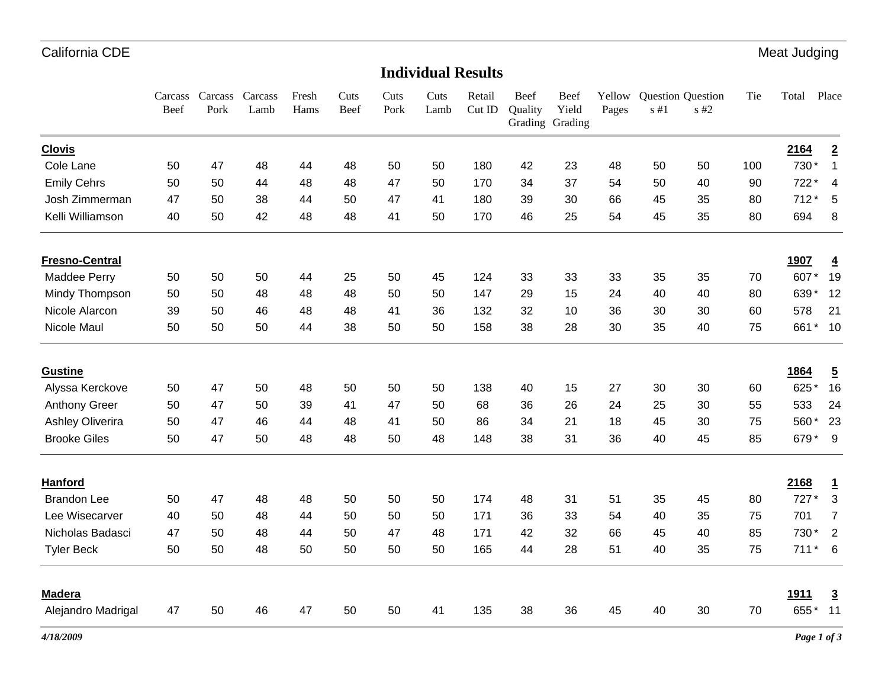Meat Judging

#### **Individual Results**

|                         | Carcass<br>Beef | Carcass<br>Pork | Carcass<br>Lamb | Fresh<br>Hams | Cuts<br>Beef | Cuts<br>Pork | Cuts<br>Lamb | Retail<br>Cut ID | Beef<br>Quality | Beef<br>Yield<br>Grading Grading | Yellow<br>Pages | $s \# 1$ | Question Question<br>$s$ #2 | Tie | Total          | Place           |
|-------------------------|-----------------|-----------------|-----------------|---------------|--------------|--------------|--------------|------------------|-----------------|----------------------------------|-----------------|----------|-----------------------------|-----|----------------|-----------------|
| <b>Clovis</b>           |                 |                 |                 |               |              |              |              |                  |                 |                                  |                 |          |                             |     | 2164           | $\overline{2}$  |
| Cole Lane               | 50              | 47              | 48              | 44            | 48           | 50           | 50           | 180              | 42              | 23                               | 48              | 50       | 50                          | 100 | 730*           | $\mathbf{1}$    |
| <b>Emily Cehrs</b>      | 50              | 50              | 44              | 48            | 48           | 47           | 50           | 170              | 34              | 37                               | 54              | 50       | 40                          | 90  | 722*           | 4               |
| Josh Zimmerman          | 47              | 50              | 38              | 44            | 50           | 47           | 41           | 180              | 39              | 30                               | 66              | 45       | 35                          | 80  | $712*$         | 5               |
| Kelli Williamson        | 40              | 50              | 42              | 48            | 48           | 41           | 50           | 170              | 46              | 25                               | 54              | 45       | 35                          | 80  | 694            | 8               |
| <b>Fresno-Central</b>   |                 |                 |                 |               |              |              |              |                  |                 |                                  |                 |          |                             |     | 1907           | $\overline{4}$  |
| Maddee Perry            | 50              | 50              | 50              | 44            | 25           | 50           | 45           | 124              | 33              | 33                               | 33              | 35       | 35                          | 70  | 607*           | 19              |
| Mindy Thompson          | 50              | 50              | 48              | 48            | 48           | 50           | 50           | 147              | 29              | 15                               | 24              | 40       | 40                          | 80  | 639*           | 12              |
| Nicole Alarcon          | 39              | 50              | 46              | 48            | 48           | 41           | 36           | 132              | 32              | 10                               | 36              | 30       | 30                          | 60  | 578            | 21              |
| Nicole Maul             | 50              | 50              | 50              | 44            | 38           | 50           | 50           | 158              | 38              | 28                               | 30              | 35       | 40                          | 75  | 661<br>*       | 10              |
| <b>Gustine</b>          |                 |                 |                 |               |              |              |              |                  |                 |                                  |                 |          |                             |     | 1864           | <u>5</u>        |
| Alyssa Kerckove         | 50              | 47              | 50              | 48            | 50           | 50           | 50           | 138              | 40              | 15                               | 27              | 30       | 30                          | 60  | 625*           | 16              |
| <b>Anthony Greer</b>    | 50              | 47              | 50              | 39            | 41           | 47           | 50           | 68               | 36              | 26                               | 24              | 25       | 30                          | 55  | 533            | 24              |
| <b>Ashley Oliverira</b> | 50              | 47              | 46              | 44            | 48           | 41           | 50           | 86               | 34              | 21                               | 18              | 45       | 30                          | 75  | 560            | 23              |
| <b>Brooke Giles</b>     | 50              | 47              | 50              | 48            | 48           | 50           | 48           | 148              | 38              | 31                               | 36              | 40       | 45                          | 85  | 679*           | - 9             |
| Hanford                 |                 |                 |                 |               |              |              |              |                  |                 |                                  |                 |          |                             |     | 2168           | $\overline{1}$  |
| <b>Brandon Lee</b>      | 50              | 47              | 48              | 48            | 50           | 50           | 50           | 174              | 48              | 31                               | 51              | 35       | 45                          | 80  | 727*           | 3               |
| Lee Wisecarver          | 40              | 50              | 48              | 44            | 50           | 50           | 50           | 171              | 36              | 33                               | 54              | 40       | 35                          | 75  | 701            | $\overline{7}$  |
| Nicholas Badasci        | 47              | 50              | 48              | 44            | 50           | 47           | 48           | 171              | 42              | 32                               | 66              | 45       | 40                          | 85  | 730*           | $\overline{2}$  |
| <b>Tyler Beck</b>       | 50              | 50              | 48              | 50            | 50           | 50           | 50           | 165              | 44              | 28                               | 51              | 40       | 35                          | 75  | 711<br>$\star$ | $6\overline{6}$ |
| <b>Madera</b>           |                 |                 |                 |               |              |              |              |                  |                 |                                  |                 |          |                             |     | 1911           | $\overline{3}$  |
| Alejandro Madrigal      | 47              | 50              | 46              | 47            | 50           | 50           | 41           | 135              | 38              | 36                               | 45              | 40       | 30                          | 70  | 655*           | 11              |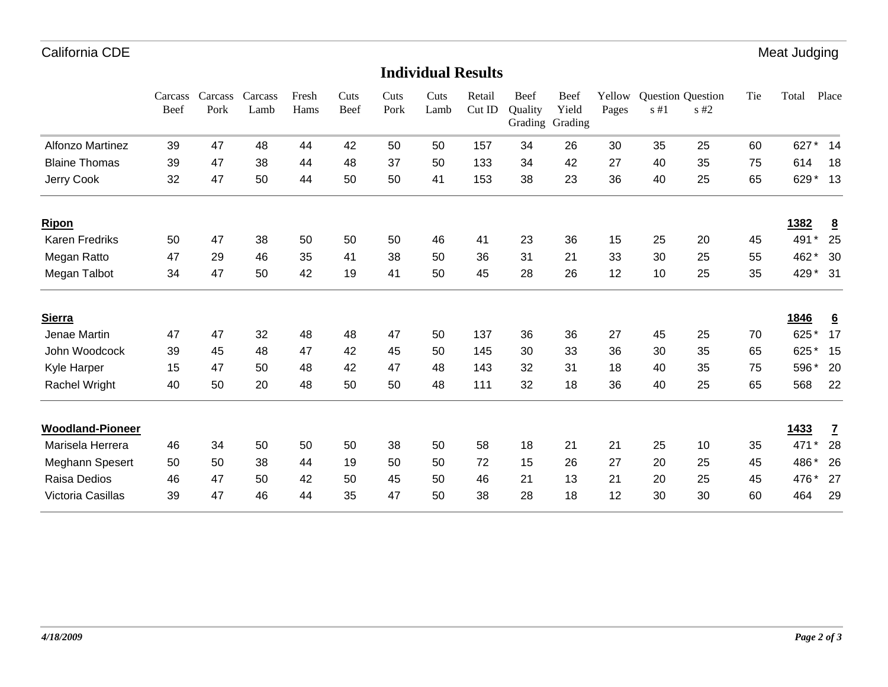Meat Judging

#### Cuts Cuts Cuts Retail Beef Beef **Individual Results**

|                         | Carcass<br>Beef | Carcass<br>Pork | Carcass<br>Lamb | Fresh<br>Hams | Cuts<br>Beef | Cuts<br>Pork | Cuts<br>Lamb | Retail<br>Cut ID | Beef<br>Quality | Beef<br>Yield<br>Grading Grading | Yellow<br>Pages | s#1 | <b>Question Question</b><br>s#2 | Tie | Total | Place           |
|-------------------------|-----------------|-----------------|-----------------|---------------|--------------|--------------|--------------|------------------|-----------------|----------------------------------|-----------------|-----|---------------------------------|-----|-------|-----------------|
| <b>Alfonzo Martinez</b> | 39              | 47              | 48              | 44            | 42           | 50           | 50           | 157              | 34              | 26                               | 30              | 35  | 25                              | 60  | 627   | 14              |
| <b>Blaine Thomas</b>    | 39              | 47              | 38              | 44            | 48           | 37           | 50           | 133              | 34              | 42                               | 27              | 40  | 35                              | 75  | 614   | 18              |
| Jerry Cook              | 32              | 47              | 50              | 44            | 50           | 50           | 41           | 153              | 38              | 23                               | 36              | 40  | 25                              | 65  | 629*  | 13              |
| <b>Ripon</b>            |                 |                 |                 |               |              |              |              |                  |                 |                                  |                 |     |                                 |     | 1382  | $\underline{8}$ |
| Karen Fredriks          | 50              | 47              | 38              | 50            | 50           | 50           | 46           | 41               | 23              | 36                               | 15              | 25  | 20                              | 45  | 491   | 25              |
| Megan Ratto             | 47              | 29              | 46              | 35            | 41           | 38           | 50           | 36               | 31              | 21                               | 33              | 30  | 25                              | 55  | 462*  | 30              |
| Megan Talbot            | 34              | 47              | 50              | 42            | 19           | 41           | 50           | 45               | 28              | 26                               | 12              | 10  | 25                              | 35  | 429*  | - 31            |
| <b>Sierra</b>           |                 |                 |                 |               |              |              |              |                  |                 |                                  |                 |     |                                 |     | 1846  | $6\overline{6}$ |
| Jenae Martin            | 47              | 47              | 32              | 48            | 48           | 47           | 50           | 137              | 36              | 36                               | 27              | 45  | 25                              | 70  | 625*  | 17              |
| John Woodcock           | 39              | 45              | 48              | 47            | 42           | 45           | 50           | 145              | 30              | 33                               | 36              | 30  | 35                              | 65  | 625   | 15              |
| Kyle Harper             | 15              | 47              | 50              | 48            | 42           | 47           | 48           | 143              | 32              | 31                               | 18              | 40  | 35                              | 75  | 596*  | 20              |
| Rachel Wright           | 40              | 50              | 20              | 48            | 50           | 50           | 48           | 111              | 32              | 18                               | 36              | 40  | 25                              | 65  | 568   | 22              |
| <b>Woodland-Pioneer</b> |                 |                 |                 |               |              |              |              |                  |                 |                                  |                 |     |                                 |     | 1433  | $\mathbf{Z}$    |
| Marisela Herrera        | 46              | 34              | 50              | 50            | 50           | 38           | 50           | 58               | 18              | 21                               | 21              | 25  | 10                              | 35  | 471   | 28              |
| Meghann Spesert         | 50              | 50              | 38              | 44            | 19           | 50           | 50           | 72               | 15              | 26                               | 27              | 20  | 25                              | 45  | 486*  | 26              |
| Raisa Dedios            | 46              | 47              | 50              | 42            | 50           | 45           | 50           | 46               | 21              | 13                               | 21              | 20  | 25                              | 45  | 476*  | 27              |
| Victoria Casillas       | 39              | 47              | 46              | 44            | 35           | 47           | 50           | 38               | 28              | 18                               | 12              | 30  | 30                              | 60  | 464   | 29              |